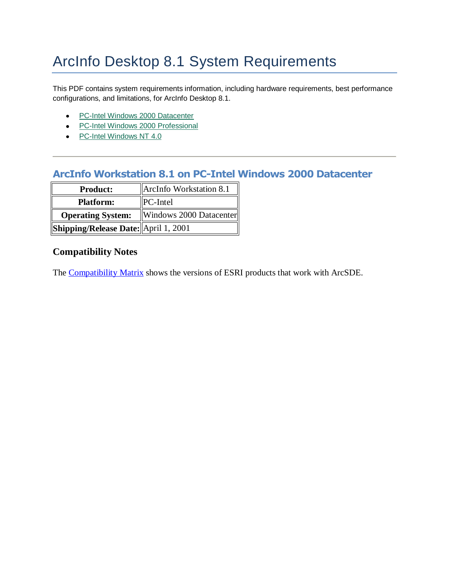# ArcInfo Desktop 8.1 System Requirements

This PDF contains system requirements information, including hardware requirements, best performance configurations, and limitations, for ArcInfo Desktop 8.1.

- [PC-Intel Windows 2000 Datacenter](#page-0-0)
- [PC-Intel Windows 2000 Professional](#page-1-0)
- [PC-Intel Windows NT 4.0](#page-3-0)

# <span id="page-0-0"></span>**ArcInfo Workstation 8.1 on PC-Intel Windows 2000 Datacenter**

| <b>Product:</b>                      | ArcInfo Workstation 8.1 |
|--------------------------------------|-------------------------|
| <b>Platform:</b>                     | <b>PC-Intel</b>         |
| <b>Operating System:</b>             | Windows 2000 Datacenter |
| Shipping/Release Date: April 1, 2001 |                         |

# **Compatibility Notes**

The [Compatibility Matrix](http://support.esri.com/index.cfm?fa=knowledgebase.systemRequirements.compatibility) shows the versions of ESRI products that work with ArcSDE.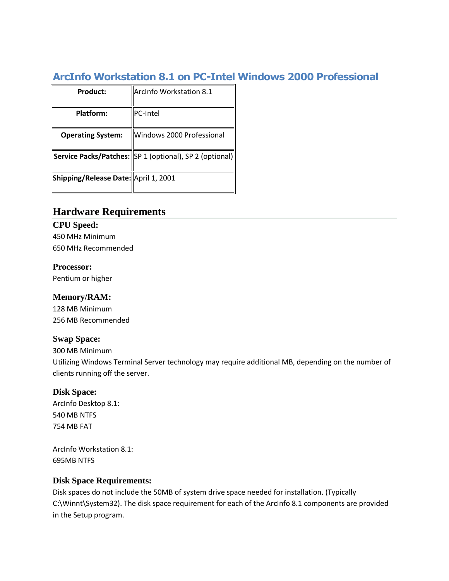# <span id="page-1-0"></span>**ArcInfo Workstation 8.1 on PC-Intel Windows 2000 Professional**

| ArcInfo Workstation 8.1                                 |
|---------------------------------------------------------|
| <b>IPC-Intel</b>                                        |
| Windows 2000 Professional                               |
| Service Packs/Patches: SP 1 (optional), SP 2 (optional) |
| Shipping/Release Date: April 1, 2001                    |
|                                                         |

# **Hardware Requirements**

# **CPU Speed:** 450 MHz Minimum

650 MHz Recommended

## **Processor:**

Pentium or higher

## **Memory/RAM:**

128 MB Minimum 256 MB Recommended

## **Swap Space:**

300 MB Minimum

Utilizing Windows Terminal Server technology may require additional MB, depending on the number of clients running off the server.

# **Disk Space:**

ArcInfo Desktop 8.1: 540 MB NTFS 754 MB FAT

ArcInfo Workstation 8.1: 695MB NTFS

## **Disk Space Requirements:**

Disk spaces do not include the 50MB of system drive space needed for installation. (Typically C:\Winnt\System32). The disk space requirement for each of the ArcInfo 8.1 components are provided in the Setup program.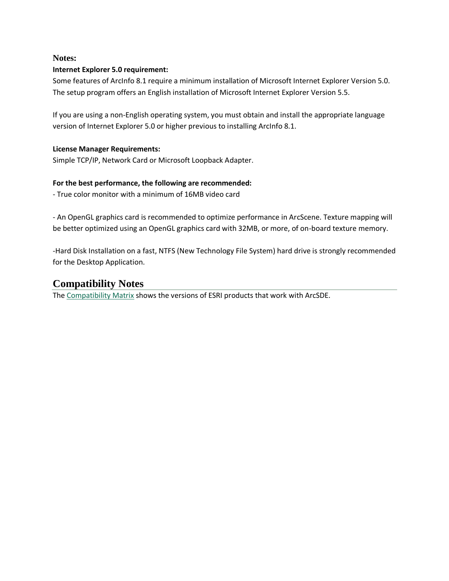#### **Notes:**

#### **Internet Explorer 5.0 requirement:**

Some features of ArcInfo 8.1 require a minimum installation of Microsoft Internet Explorer Version 5.0. The setup program offers an English installation of Microsoft Internet Explorer Version 5.5.

If you are using a non-English operating system, you must obtain and install the appropriate language version of Internet Explorer 5.0 or higher previous to installing ArcInfo 8.1.

#### **License Manager Requirements:**

Simple TCP/IP, Network Card or Microsoft Loopback Adapter.

#### **For the best performance, the following are recommended:**

- True color monitor with a minimum of 16MB video card

- An OpenGL graphics card is recommended to optimize performance in ArcScene. Texture mapping will be better optimized using an OpenGL graphics card with 32MB, or more, of on-board texture memory.

-Hard Disk Installation on a fast, NTFS (New Technology File System) hard drive is strongly recommended for the Desktop Application.

# **Compatibility Notes**

The [Compatibility Matrix](http://support.esri.com/index.cfm?fa=knowledgebase.systemRequirements.compatibility) shows the versions of ESRI products that work with ArcSDE.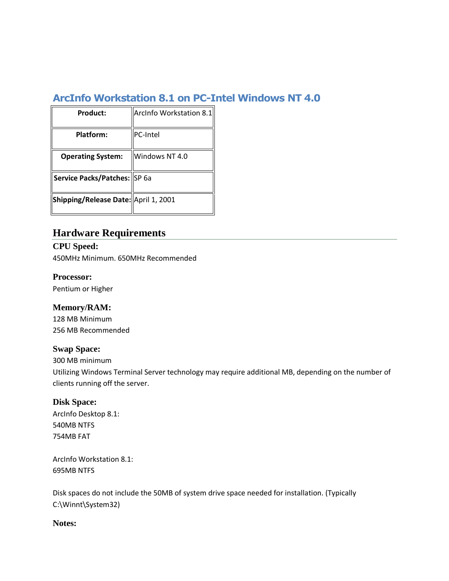# <span id="page-3-0"></span>**ArcInfo Workstation 8.1 on PC-Intel Windows NT 4.0**

| Product:                             | ArcInfo Workstation 8.1 |
|--------------------------------------|-------------------------|
| Platform:                            | PC-Intel                |
| <b>Operating System:</b>             | Windows NT 4.0          |
| Service Packs/Patches: SP 6a         |                         |
| Shipping/Release Date: April 1, 2001 |                         |

# **Hardware Requirements**

**CPU Speed:** 450MHz Minimum. 650MHz Recommended

#### **Processor:**

Pentium or Higher

## **Memory/RAM:**

128 MB Minimum 256 MB Recommended

#### **Swap Space:**

300 MB minimum

Utilizing Windows Terminal Server technology may require additional MB, depending on the number of clients running off the server.

#### **Disk Space:**

ArcInfo Desktop 8.1: 540MB NTFS 754MB FAT

ArcInfo Workstation 8.1: 695MB NTFS

Disk spaces do not include the 50MB of system drive space needed for installation. (Typically C:\Winnt\System32)

#### **Notes:**